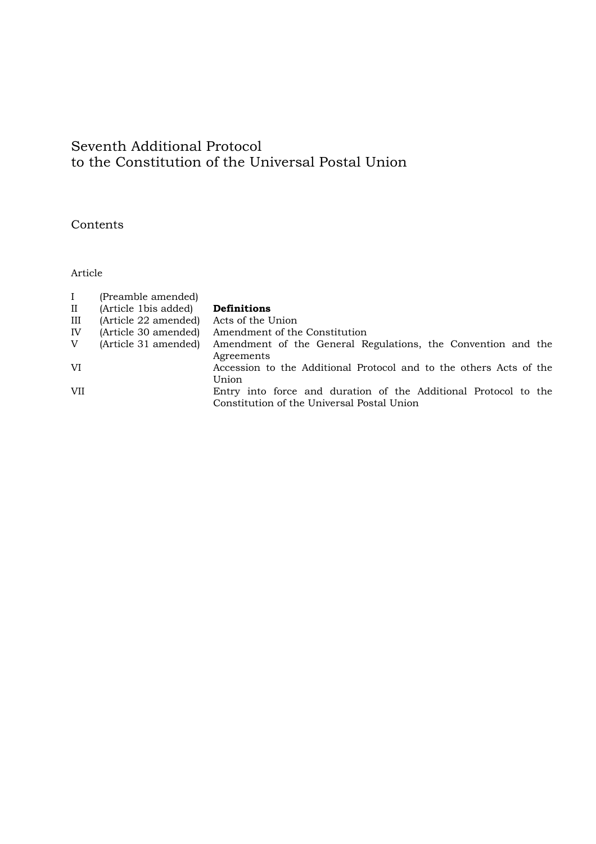## Seventh Additional Protocol to the Constitution of the Universal Postal Union

Contents

Article

| $\bf{I}$             | (Preamble amended)   |                                                                    |
|----------------------|----------------------|--------------------------------------------------------------------|
| $\scriptstyle\rm II$ | (Article 1bis added) | <b>Definitions</b>                                                 |
| Ш                    | (Article 22 amended) | Acts of the Union                                                  |
| IV                   | (Article 30 amended) | Amendment of the Constitution                                      |
| V                    | (Article 31 amended) | Amendment of the General Regulations, the Convention and the       |
|                      |                      | Agreements                                                         |
| VI                   |                      | Accession to the Additional Protocol and to the others Acts of the |
|                      |                      | Union                                                              |
| <b>VII</b>           |                      | Entry into force and duration of the Additional Protocol to the    |
|                      |                      | Constitution of the Universal Postal Union                         |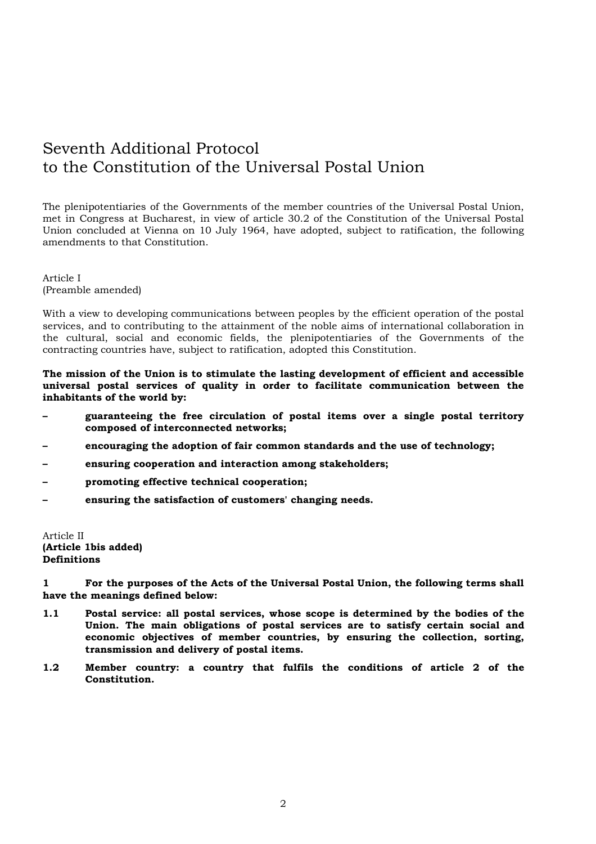## Seventh Additional Protocol to the Constitution of the Universal Postal Union

The plenipotentiaries of the Governments of the member countries of the Universal Postal Union, met in Congress at Bucharest, in view of article 30.2 of the Constitution of the Universal Postal Union concluded at Vienna on 10 July 1964, have adopted, subject to ratification, the following amendments to that Constitution.

Article I (Preamble amended)

With a view to developing communications between peoples by the efficient operation of the postal services, and to contributing to the attainment of the noble aims of international collaboration in the cultural, social and economic fields, the plenipotentiaries of the Governments of the contracting countries have, subject to ratification, adopted this Constitution.

**The mission of the Union is to stimulate the lasting development of efficient and accessible universal postal services of quality in order to facilitate communication between the inhabitants of the world by:** 

- **guaranteeing the free circulation of postal items over a single postal territory composed of interconnected networks;**
- **encouraging the adoption of fair common standards and the use of technology;**
- **ensuring cooperation and interaction among stakeholders;**
- **promoting effective technical cooperation;**
- **ensuring the satisfaction of customers' changing needs.**

Article II **(Article 1bis added) Definitions** 

**1 For the purposes of the Acts of the Universal Postal Union, the following terms shall have the meanings defined below:** 

- **1.1 Postal service: all postal services, whose scope is determined by the bodies of the Union. The main obligations of postal services are to satisfy certain social and economic objectives of member countries, by ensuring the collection, sorting, transmission and delivery of postal items.**
- **1.2 Member country: a country that fulfils the conditions of article 2 of the Constitution.**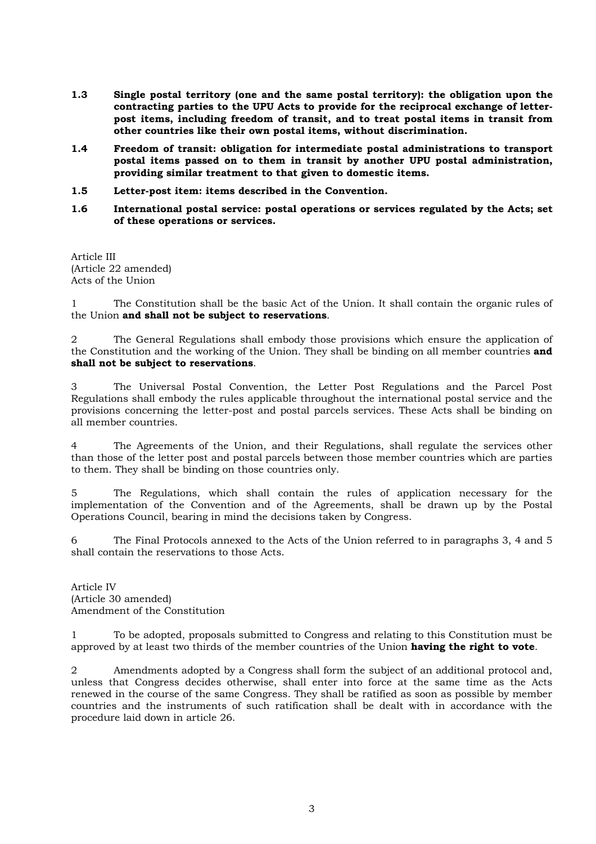- **1.3 Single postal territory (one and the same postal territory): the obligation upon the contracting parties to the UPU Acts to provide for the reciprocal exchange of letterpost items, including freedom of transit, and to treat postal items in transit from other countries like their own postal items, without discrimination.**
- **1.4 Freedom of transit: obligation for intermediate postal administrations to transport postal items passed on to them in transit by another UPU postal administration, providing similar treatment to that given to domestic items.**
- **1.5 Letter-post item: items described in the Convention.**
- **1.6 International postal service: postal operations or services regulated by the Acts; set of these operations or services.**

Article III (Article 22 amended) Acts of the Union

1 The Constitution shall be the basic Act of the Union. It shall contain the organic rules of the Union **and shall not be subject to reservations**.

2 The General Regulations shall embody those provisions which ensure the application of the Constitution and the working of the Union. They shall be binding on all member countries **and shall not be subject to reservations**.

3 The Universal Postal Convention, the Letter Post Regulations and the Parcel Post Regulations shall embody the rules applicable throughout the international postal service and the provisions concerning the letter-post and postal parcels services. These Acts shall be binding on all member countries.

4 The Agreements of the Union, and their Regulations, shall regulate the services other than those of the letter post and postal parcels between those member countries which are parties to them. They shall be binding on those countries only.

5 The Regulations, which shall contain the rules of application necessary for the implementation of the Convention and of the Agreements, shall be drawn up by the Postal Operations Council, bearing in mind the decisions taken by Congress.

6 The Final Protocols annexed to the Acts of the Union referred to in paragraphs 3, 4 and 5 shall contain the reservations to those Acts.

Article IV (Article 30 amended) Amendment of the Constitution

1 To be adopted, proposals submitted to Congress and relating to this Constitution must be approved by at least two thirds of the member countries of the Union **having the right to vote**.

2 Amendments adopted by a Congress shall form the subject of an additional protocol and, unless that Congress decides otherwise, shall enter into force at the same time as the Acts renewed in the course of the same Congress. They shall be ratified as soon as possible by member countries and the instruments of such ratification shall be dealt with in accordance with the procedure laid down in article 26.